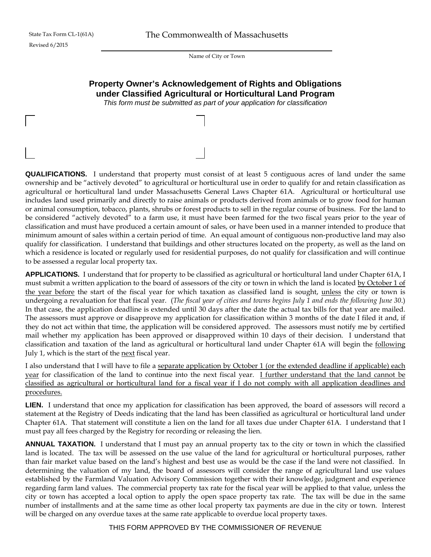Name of City or Town

## **Property Owner's Acknowledgement of Rights and Obligations under Classified Agricultural or Horticultural Land Program**

*This form must be submitted as part of your application for classification* 

**QUALIFICATIONS.** I understand that property must consist of at least 5 contiguous acres of land under the same ownership and be "actively devoted" to agricultural or horticultural use in order to qualify for and retain classification as agricultural or horticultural land under Massachusetts General Laws Chapter 61A. Agricultural or horticultural use includes land used primarily and directly to raise animals or products derived from animals or to grow food for human or animal consumption, tobacco, plants, shrubs or forest products to sell in the regular course of business. For the land to be considered "actively devoted" to a farm use, it must have been farmed for the two fiscal years prior to the year of classification and must have produced a certain amount of sales, or have been used in a manner intended to produce that minimum amount of sales within a certain period of time. An equal amount of contiguous non-productive land may also qualify for classification. I understand that buildings and other structures located on the property, as well as the land on which a residence is located or regularly used for residential purposes, do not qualify for classification and will continue to be assessed a regular local property tax.

**APPLICATIONS.** I understand that for property to be classified as agricultural or horticultural land under Chapter 61A, I must submit a written application to the board of assessors of the city or town in which the land is located by October 1 of the year before the start of the fiscal year for which taxation as classified land is sought, unless the city or town is undergoing a revaluation for that fiscal year. (*The fiscal year of cities and towns begins July 1 and ends the following June 30*.) In that case, the application deadline is extended until 30 days after the date the actual tax bills for that year are mailed. The assessors must approve or disapprove my application for classification within 3 months of the date I filed it and, if they do not act within that time, the application will be considered approved. The assessors must notify me by certified mail whether my application has been approved or disapproved within 10 days of their decision. I understand that classification and taxation of the land as agricultural or horticultural land under Chapter 61A will begin the following July 1, which is the start of the next fiscal year.

I also understand that I will have to file a separate application by October 1 (or the extended deadline if applicable) each year for classification of the land to continue into the next fiscal year. I further understand that the land cannot be classified as agricultural or horticultural land for a fiscal year if I do not comply with all application deadlines and procedures.

**LIEN.** I understand that once my application for classification has been approved, the board of assessors will record a statement at the Registry of Deeds indicating that the land has been classified as agricultural or horticultural land under Chapter 61A. That statement will constitute a lien on the land for all taxes due under Chapter 61A. I understand that I must pay all fees charged by the Registry for recording or releasing the lien.

**ANNUAL TAXATION.** I understand that I must pay an annual property tax to the city or town in which the classified land is located. The tax will be assessed on the use value of the land for agricultural or horticultural purposes, rather than fair market value based on the land's highest and best use as would be the case if the land were not classified. In determining the valuation of my land, the board of assessors will consider the range of agricultural land use values established by the Farmland Valuation Advisory Commission together with their knowledge, judgment and experience regarding farm land values. The commercial property tax rate for the fiscal year will be applied to that value, unless the city or town has accepted a local option to apply the open space property tax rate. The tax will be due in the same number of installments and at the same time as other local property tax payments are due in the city or town. Interest will be charged on any overdue taxes at the same rate applicable to overdue local property taxes.

THIS FORM APPROVED BY THE COMMISSIONER OF REVENUE